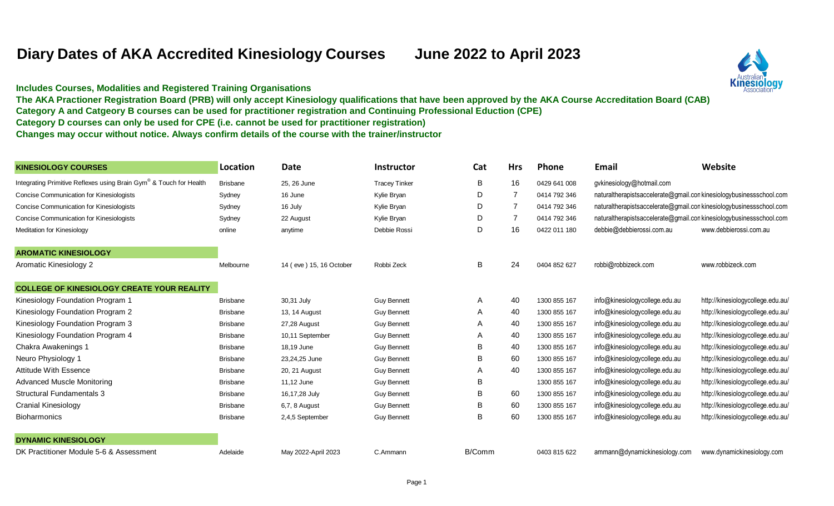## **Diary Dates of AKA Accredited Kinesiology Courses June 2022 to April 2023**



**Includes Courses, Modalities and Registered Training Organisations** 

**The AKA Practioner Registration Board (PRB) will only accept Kinesiology qualifications that have been approved by the AKA Course Accreditation Board (CAB)**

**Category A and Catgeory B courses can be used for practitioner registration and Continuing Professional Eduction (CPE)**

**Category D courses can only be used for CPE (i.e. cannot be used for practitioner registration)**

**Changes may occur without notice. Always confirm details of the course with the trainer/instructor**

| <b>KINESIOLOGY COURSES</b>                                         | Location        | <b>Date</b>             | <b>Instructor</b>    | Cat    | <b>Hrs</b>     | Phone        | Email                                                              | Website                           |
|--------------------------------------------------------------------|-----------------|-------------------------|----------------------|--------|----------------|--------------|--------------------------------------------------------------------|-----------------------------------|
| Integrating Primitive Reflexes using Brain Gym® & Touch for Health | <b>Brisbane</b> | 25, 26 June             | <b>Tracey Tinker</b> | B      | 16             | 0429 641 008 | gvkinesiology@hotmail.com                                          |                                   |
| Concise Communication for Kinesiologists                           | Sydney          | 16 June                 | Kylie Bryan          | D      | $\overline{7}$ | 0414 792 346 | naturaltherapistsaccelerate@gmail.conkinesiologybusinessschool.com |                                   |
| Concise Communication for Kinesiologists                           | Sydney          | 16 July                 | Kylie Bryan          | D      | $\overline{7}$ | 0414 792 346 | naturaltherapistsaccelerate@gmail.conkinesiologybusinessschool.com |                                   |
| Concise Communication for Kinesiologists                           | Sydney          | 22 August               | Kylie Bryan          | D      | $\overline{7}$ | 0414 792 346 | naturaltherapistsaccelerate@gmail.conkinesiologybusinessschool.com |                                   |
| <b>Meditation for Kinesiology</b>                                  | online          | anytime                 | Debbie Rossi         | D      | 16             | 0422 011 180 | debbie@debbierossi.com.au                                          | www.debbierossi.com.au            |
| <b>AROMATIC KINESIOLOGY</b>                                        |                 |                         |                      |        |                |              |                                                                    |                                   |
| Aromatic Kinesiology 2                                             | Melbourne       | 14 (eve) 15, 16 October | Robbi Zeck           | B      | 24             | 0404 852 627 | robbi@robbizeck.com                                                | www.robbizeck.com                 |
| <b>COLLEGE OF KINESIOLOGY CREATE YOUR REALITY</b>                  |                 |                         |                      |        |                |              |                                                                    |                                   |
| Kinesiology Foundation Program 1                                   | <b>Brisbane</b> | 30,31 July              | <b>Guy Bennett</b>   | A      | 40             | 1300 855 167 | info@kinesiologycollege.edu.au                                     | http://kinesiologycollege.edu.au/ |
| Kinesiology Foundation Program 2                                   | <b>Brisbane</b> | 13, 14 August           | <b>Guy Bennett</b>   | A      | 40             | 1300 855 167 | info@kinesiologycollege.edu.au                                     | http://kinesiologycollege.edu.au/ |
| Kinesiology Foundation Program 3                                   | <b>Brisbane</b> | 27,28 August            | <b>Guy Bennett</b>   | A      | 40             | 1300 855 167 | info@kinesiologycollege.edu.au                                     | http://kinesiologycollege.edu.au/ |
| Kinesiology Foundation Program 4                                   | <b>Brisbane</b> | 10,11 September         | <b>Guy Bennett</b>   | A      | 40             | 1300 855 167 | info@kinesiologycollege.edu.au                                     | http://kinesiologycollege.edu.au/ |
| Chakra Awakenings 1                                                | <b>Brisbane</b> | 18,19 June              | <b>Guy Bennett</b>   | В      | 40             | 1300 855 167 | info@kinesiologycollege.edu.au                                     | http://kinesiologycollege.edu.au/ |
| Neuro Physiology 1                                                 | <b>Brisbane</b> | 23,24,25 June           | <b>Guy Bennett</b>   | B      | 60             | 1300 855 167 | info@kinesiologycollege.edu.au                                     | http://kinesiologycollege.edu.au/ |
| Attitude With Essence                                              | <b>Brisbane</b> | 20, 21 August           | <b>Guy Bennett</b>   | A      | 40             | 1300 855 167 | info@kinesiologycollege.edu.au                                     | http://kinesiologycollege.edu.au/ |
| <b>Advanced Muscle Monitoring</b>                                  | <b>Brisbane</b> | 11,12 June              | <b>Guy Bennett</b>   | B      |                | 1300 855 167 | info@kinesiologycollege.edu.au                                     | http://kinesiologycollege.edu.au/ |
| <b>Structural Fundamentals 3</b>                                   | <b>Brisbane</b> | 16,17,28 July           | <b>Guy Bennett</b>   | B      | 60             | 1300 855 167 | info@kinesiologycollege.edu.au                                     | http://kinesiologycollege.edu.au/ |
| <b>Cranial Kinesiology</b>                                         | <b>Brisbane</b> | 6,7, 8 August           | <b>Guy Bennett</b>   | В      | 60             | 1300 855 167 | info@kinesiologycollege.edu.au                                     | http://kinesiologycollege.edu.au/ |
| <b>Bioharmonics</b>                                                | <b>Brisbane</b> | 2,4,5 September         | <b>Guy Bennett</b>   | B      | 60             | 1300 855 167 | info@kinesiologycollege.edu.au                                     | http://kinesiologycollege.edu.au/ |
| <b>DYNAMIC KINESIOLOGY</b>                                         |                 |                         |                      |        |                |              |                                                                    |                                   |
| DK Practitioner Module 5-6 & Assessment                            | Adelaide        | May 2022-April 2023     | C.Ammann             | B/Comm |                | 0403 815 622 | ammann@dynamickinesiology.com                                      | www.dynamickinesiology.com        |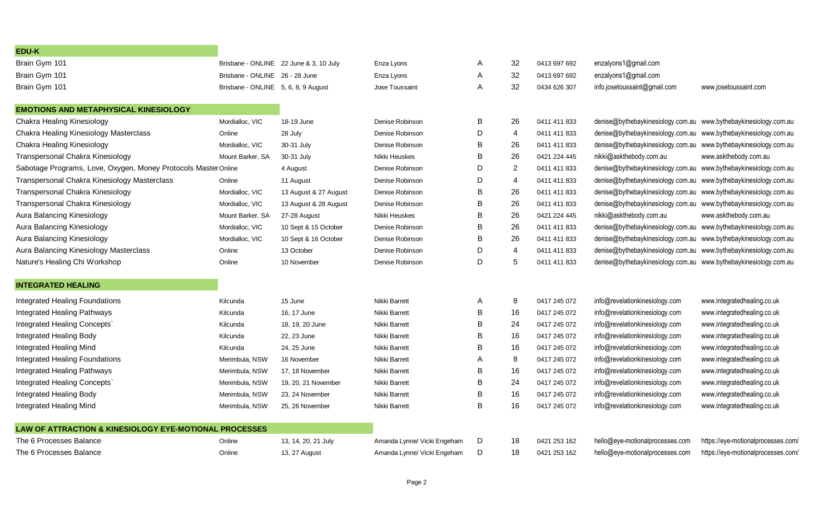| <b>EDU-K</b>                                                      |                                     |                                        |                             |   |                |              |                                                                  |                                    |
|-------------------------------------------------------------------|-------------------------------------|----------------------------------------|-----------------------------|---|----------------|--------------|------------------------------------------------------------------|------------------------------------|
| Brain Gym 101                                                     |                                     | Brisbane - ONLINE 22 June & 3, 10 July | Enza Lyons                  | A | 32             | 0413 697 692 | enzalyons1@gmail.com                                             |                                    |
| Brain Gym 101                                                     | Brisbane - ONLINE 26 - 28 June      |                                        | Enza Lyons                  | A | 32             | 0413 697 692 | enzalyons1@gmail.com                                             |                                    |
| Brain Gym 101                                                     | Brisbane - ONLINE 5, 6, 8, 9 August |                                        | Jose Toussaint              | A | 32             | 0434 626 307 | info.josetoussaint@gmail.com                                     | www.josetoussaint.com              |
| <b>EMOTIONS AND METAPHYSICAL KINESIOLOGY</b>                      |                                     |                                        |                             |   |                |              |                                                                  |                                    |
| Chakra Healing Kinesiology                                        | Mordialloc, VIC                     | 18-19 June                             | Denise Robinson             | B | 26             | 0411 411 833 | denise@bythebaykinesiology.com.au www.bythebaykinesiology.com.au |                                    |
| Chakra Healing Kinesiology Masterclass                            | Online                              | 28 July                                | Denise Robinson             | D | 4              | 0411 411 833 | denise@bythebaykinesiology.com.au www.bythebaykinesiology.com.au |                                    |
| Chakra Healing Kinesiology                                        | Mordialloc, VIC                     | 30-31 July                             | Denise Robinson             | В | 26             | 0411 411 833 | denise@bythebaykinesiology.com.au                                | www.bythebaykinesiology.com.au     |
| Transpersonal Chakra Kinesiology                                  | Mount Barker, SA                    | 30-31 July                             | Nikki Heuskes               | B | 26             | 0421 224 445 | nikki@askthebody.com.au                                          | www.askthebody.com.au              |
| Sabotage Programs, Love, Oxygen, Money Protocols Master Online    |                                     | 4 August                               | Denise Robinson             | D | $\overline{2}$ | 0411 411 833 | denise@bythebaykinesiology.com.au                                | www.bythebaykinesiology.com.au     |
| Transpersonal Chakra Kinesiology Masterclass                      | Online                              | 11 August                              | Denise Robinson             | D | $\overline{4}$ | 0411 411 833 | denise@bythebaykinesiology.com.au                                | www.bythebaykinesiology.com.au     |
| Transpersonal Chakra Kinesiology                                  | Mordialloc, VIC                     | 13 August & 27 August                  | Denise Robinson             | B | 26             | 0411 411 833 | denise@bythebaykinesiology.com.au                                | www.bythebaykinesiology.com.au     |
| Transpersonal Chakra Kinesiology                                  | Mordialloc, VIC                     | 13 August & 28 August                  | Denise Robinson             | B | 26             | 0411 411 833 | denise@bythebaykinesiology.com.au                                | www.bythebaykinesiology.com.au     |
| Aura Balancing Kinesiology                                        | Mount Barker, SA                    | 27-28 August                           | Nikki Heuskes               | B | 26             | 0421 224 445 | nikki@askthebody.com.au                                          | www.askthebody.com.au              |
| Aura Balancing Kinesiology                                        | Mordialloc, VIC                     | 10 Sept & 15 October                   | Denise Robinson             | B | 26             | 0411 411 833 | denise@bythebaykinesiology.com.au www.bythebaykinesiology.com.au |                                    |
| Aura Balancing Kinesiology                                        | Mordialloc, VIC                     | 10 Sept & 16 October                   | Denise Robinson             | В | 26             | 0411 411 833 | denise@bythebaykinesiology.com.au www.bythebaykinesiology.com.au |                                    |
| Aura Balancing Kinesiology Masterclass                            | Online                              | 13 October                             | Denise Robinson             | D | $\overline{4}$ | 0411 411 833 | denise@bythebaykinesiology.com.au www.bythebaykinesiology.com.au |                                    |
| Nature's Healing Chi Workshop                                     | Online                              | 10 November                            | Denise Robinson             | D | 5              | 0411 411 833 | denise@bythebaykinesiology.com.au www.bythebaykinesiology.com.au |                                    |
| <b>INTEGRATED HEALING</b>                                         |                                     |                                        |                             |   |                |              |                                                                  |                                    |
| <b>Integrated Healing Foundations</b>                             | Kilcunda                            | 15 June                                | Nikki Barrett               | A | 8              | 0417 245 072 | info@revelationkinesiology.com                                   | www.integratedhealing.co.uk        |
| Integrated Healing Pathways                                       | Kilcunda                            | 16, 17 June                            | Nikki Barrett               | B | 16             | 0417 245 072 | info@revelationkinesiology.com                                   | www.integratedhealing.co.uk        |
| Integrated Healing Concepts`                                      | Kilcunda                            | 18, 19, 20 June                        | Nikki Barrett               | в | 24             | 0417 245 072 | info@revelationkinesiology.com                                   | www.integratedhealing.co.uk        |
| Integrated Healing Body                                           | Kilcunda                            | 22, 23 June                            | Nikki Barrett               | B | 16             | 0417 245 072 | info@revelationkinesiology.com                                   | www.integratedhealing.co.uk        |
| <b>Integrated Healing Mind</b>                                    | Kilcunda                            | 24, 25 June                            | Nikki Barrett               | В | 16             | 0417 245 072 | info@revelationkinesiology.com                                   | www.integratedhealing.co.uk        |
| Integrated Healing Foundations                                    | Merimbula, NSW                      | 16 November                            | Nikki Barrett               | А | 8              | 0417 245 072 | info@revelationkinesiology.com                                   | www.integratedhealing.co.uk        |
| Integrated Healing Pathways                                       | Merimbula, NSW                      | 17.18 November                         | Nikki Barrett               | B | 16             | 0417 245 072 | info@revelationkinesiology.com                                   | www.integratedhealing.co.uk        |
| Integrated Healing Concepts`                                      | Merimbula, NSW                      | 19, 20, 21 November                    | Nikki Barrett               | B | 24             | 0417 245 072 | info@revelationkinesiology.com                                   | www.integratedhealing.co.uk        |
| Integrated Healing Body                                           | Merimbula, NSW                      | 23, 24 November                        | Nikki Barrett               | B | 16             | 0417 245 072 | info@revelationkinesiology.com                                   | www.integratedhealing.co.uk        |
| Integrated Healing Mind                                           | Merimbula, NSW                      | 25, 26 November                        | Nikki Barrett               | B | 16             | 0417 245 072 | info@revelationkinesiology.com                                   | www.integratedhealing.co.uk        |
| <b>LAW OF ATTRACTION &amp; KINESIOLOGY EYE-MOTIONAL PROCESSES</b> |                                     |                                        |                             |   |                |              |                                                                  |                                    |
| The 6 Processes Balance                                           | Online                              | 13, 14, 20, 21 July                    | Amanda Lynne/ Vicki Engeham | D | 18             | 0421 253 162 | hello@eye-motionalprocesses.com                                  | https://eye-motionalprocesses.com/ |
| The 6 Processes Balance                                           | Online                              | 13, 27 August                          | Amanda Lynne/ Vicki Engeham | D | 18             | 0421 253 162 | hello@eye-motionalprocesses.com                                  | https://eye-motionalprocesses.com/ |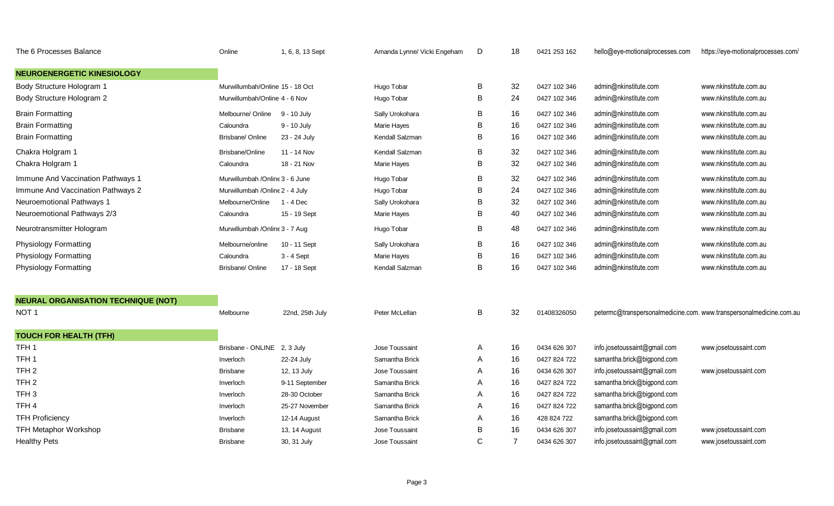| The 6 Processes Balance                    | Online                          | 1, 6, 8, 13 Sept | Amanda Lynne/ Vicki Engeham | D | 18             | 0421 253 162 | hello@eye-motionalprocesses.com | https://eye-motionalprocesses.com/                                  |
|--------------------------------------------|---------------------------------|------------------|-----------------------------|---|----------------|--------------|---------------------------------|---------------------------------------------------------------------|
| <b>NEUROENERGETIC KINESIOLOGY</b>          |                                 |                  |                             |   |                |              |                                 |                                                                     |
| Body Structure Hologram 1                  | Murwillumbah/Online 15 - 18 Oct |                  | Hugo Tobar                  | В | 32             | 0427 102 346 | admin@nkinstitute.com           | www.nkinstitute.com.au                                              |
| Body Structure Hologram 2                  | Murwillumbah/Online 4 - 6 Nov   |                  | Hugo Tobar                  | В | 24             | 0427 102 346 | admin@nkinstitute.com           | www.nkinstitute.com.au                                              |
| <b>Brain Formatting</b>                    | Melbourne/ Online               | 9 - 10 July      | Sally Urokohara             | B | 16             | 0427 102 346 | admin@nkinstitute.com           | www.nkinstitute.com.au                                              |
| <b>Brain Formatting</b>                    | Caloundra                       | 9 - 10 July      | Marie Hayes                 | В | 16             | 0427 102 346 | admin@nkinstitute.com           | www.nkinstitute.com.au                                              |
| <b>Brain Formatting</b>                    | Brisbane/ Online                | 23 - 24 July     | Kendall Salzman             | B | 16             | 0427 102 346 | admin@nkinstitute.com           | www.nkinstitute.com.au                                              |
| Chakra Holgram 1                           | Brisbane/Online                 | 11 - 14 Nov      | Kendall Salzman             | B | 32             | 0427 102 346 | admin@nkinstitute.com           | www.nkinstitute.com.au                                              |
| Chakra Holgram 1                           | Caloundra                       | 18 - 21 Nov      | Marie Hayes                 | B | 32             | 0427 102 346 | admin@nkinstitute.com           | www.nkinstitute.com.au                                              |
| Immune And Vaccination Pathways 1          | Murwillumbah /Online 3 - 6 June |                  | Hugo Tobar                  | B | 32             | 0427 102 346 | admin@nkinstitute.com           | www.nkinstitute.com.au                                              |
| Immune And Vaccination Pathways 2          | Murwillumbah /Online 2 - 4 July |                  | Hugo Tobar                  | в | 24             | 0427 102 346 | admin@nkinstitute.com           | www.nkinstitute.com.au                                              |
| Neuroemotional Pathways 1                  | Melbourne/Online                | 1 - 4 Dec        | Sally Urokohara             | в | 32             | 0427 102 346 | admin@nkinstitute.com           | www.nkinstitute.com.au                                              |
| Neuroemotional Pathways 2/3                | Caloundra                       | 15 - 19 Sept     | Marie Hayes                 | B | 40             | 0427 102 346 | admin@nkinstitute.com           | www.nkinstitute.com.au                                              |
| Neurotransmitter Hologram                  | Murwillumbah /Online 3 - 7 Aug  |                  | Hugo Tobar                  | B | 48             | 0427 102 346 | admin@nkinstitute.com           | www.nkinstitute.com.au                                              |
| <b>Physiology Formatting</b>               | Melbourne/online                | 10 - 11 Sept     | Sally Urokohara             | B | 16             | 0427 102 346 | admin@nkinstitute.com           | www.nkinstitute.com.au                                              |
| <b>Physiology Formatting</b>               | Caloundra                       | 3 - 4 Sept       | Marie Hayes                 | B | 16             | 0427 102 346 | admin@nkinstitute.com           | www.nkinstitute.com.au                                              |
| <b>Physiology Formatting</b>               | Brisbane/ Online                | 17 - 18 Sept     | Kendall Salzman             | B | 16             | 0427 102 346 | admin@nkinstitute.com           | www.nkinstitute.com.au                                              |
| <b>NEURAL ORGANISATION TECHNIQUE (NOT)</b> |                                 |                  |                             |   |                |              |                                 |                                                                     |
| NOT <sub>1</sub>                           | Melbourne                       | 22nd, 25th July  | Peter McLellan              | B | 32             | 01408326050  |                                 | petermc@transpersonalmedicine.com. www.transpersonalmedicine.com.au |
| <b>TOUCH FOR HEALTH (TFH)</b>              |                                 |                  |                             |   |                |              |                                 |                                                                     |
| TFH <sub>1</sub>                           | Brisbane - ONLINE 2, 3 July     |                  | Jose Toussaint              | Α | 16             | 0434 626 307 | info.josetoussaint@gmail.com    | www.josetoussaint.com                                               |
| TFH <sub>1</sub>                           | Inverloch                       | 22-24 July       | Samantha Brick              | A | 16             | 0427 824 722 | samantha.brick@bigpond.com      |                                                                     |
| TFH <sub>2</sub>                           | <b>Brisbane</b>                 | 12, 13 July      | Jose Toussaint              | Α | 16             | 0434 626 307 | info.josetoussaint@gmail.com    | www.josetoussaint.com                                               |
| TFH <sub>2</sub>                           | Inverloch                       | 9-11 September   | Samantha Brick              | Α | 16             | 0427 824 722 | samantha.brick@bigpond.com      |                                                                     |
| TFH <sub>3</sub>                           | Inverloch                       | 28-30 October    | Samantha Brick              | Α | 16             | 0427 824 722 | samantha.brick@bigpond.com      |                                                                     |
| TFH <sub>4</sub>                           | Inverloch                       | 25-27 November   | Samantha Brick              | Α | 16             | 0427 824 722 | samantha.brick@bigpond.com      |                                                                     |
| <b>TFH Proficiency</b>                     | Inverloch                       | 12-14 August     | Samantha Brick              | A | 16             | 428 824 722  | samantha.brick@bigpond.com      |                                                                     |
| <b>TFH Metaphor Workshop</b>               | <b>Brisbane</b>                 | 13, 14 August    | Jose Toussaint              | B | 16             | 0434 626 307 | info.josetoussaint@gmail.com    | www.josetoussaint.com                                               |
| <b>Healthy Pets</b>                        | <b>Brisbane</b>                 | 30, 31 July      | Jose Toussaint              | C | $\overline{7}$ | 0434 626 307 | info.josetoussaint@gmail.com    | www.josetoussaint.com                                               |